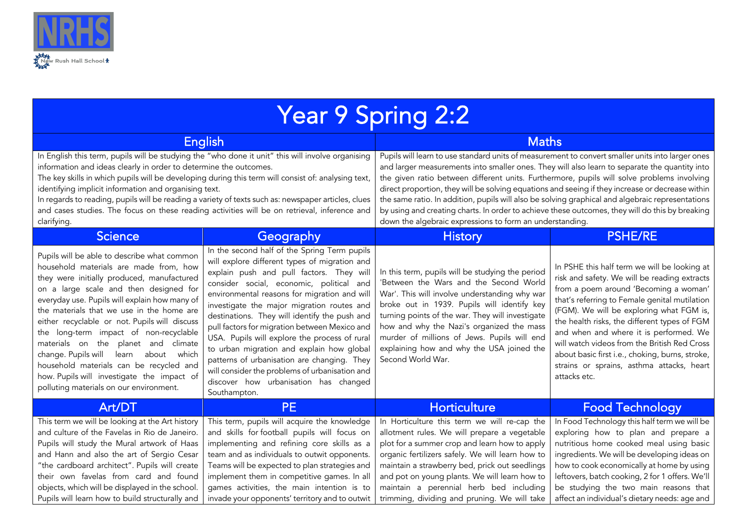

| <b>Year 9 Spring 2:2</b>                                                                                                                                                                                                                                                                                                                                                                                                                                                                                                                                                                      |                                                                                                                                                                                                                                                                                                                                                                                                                                                                                                                                                                                                                                               |                                                                                                                                                                                                                                                                                                                                                                                                                                                                                                                                                                                                                                                                        |                                                                                                                                                                                                                                                                                                                                                                                                                                                                                              |  |
|-----------------------------------------------------------------------------------------------------------------------------------------------------------------------------------------------------------------------------------------------------------------------------------------------------------------------------------------------------------------------------------------------------------------------------------------------------------------------------------------------------------------------------------------------------------------------------------------------|-----------------------------------------------------------------------------------------------------------------------------------------------------------------------------------------------------------------------------------------------------------------------------------------------------------------------------------------------------------------------------------------------------------------------------------------------------------------------------------------------------------------------------------------------------------------------------------------------------------------------------------------------|------------------------------------------------------------------------------------------------------------------------------------------------------------------------------------------------------------------------------------------------------------------------------------------------------------------------------------------------------------------------------------------------------------------------------------------------------------------------------------------------------------------------------------------------------------------------------------------------------------------------------------------------------------------------|----------------------------------------------------------------------------------------------------------------------------------------------------------------------------------------------------------------------------------------------------------------------------------------------------------------------------------------------------------------------------------------------------------------------------------------------------------------------------------------------|--|
| <b>English</b>                                                                                                                                                                                                                                                                                                                                                                                                                                                                                                                                                                                |                                                                                                                                                                                                                                                                                                                                                                                                                                                                                                                                                                                                                                               | <b>Maths</b>                                                                                                                                                                                                                                                                                                                                                                                                                                                                                                                                                                                                                                                           |                                                                                                                                                                                                                                                                                                                                                                                                                                                                                              |  |
| In English this term, pupils will be studying the "who done it unit" this will involve organising<br>information and ideas clearly in order to determine the outcomes.<br>The key skills in which pupils will be developing during this term will consist of: analysing text,<br>identifying implicit information and organising text.<br>In regards to reading, pupils will be reading a variety of texts such as: newspaper articles, clues<br>and cases studies. The focus on these reading activities will be on retrieval, inference and<br>clarifying.                                  |                                                                                                                                                                                                                                                                                                                                                                                                                                                                                                                                                                                                                                               | Pupils will learn to use standard units of measurement to convert smaller units into larger ones<br>and larger measurements into smaller ones. They will also learn to separate the quantity into<br>the given ratio between different units. Furthermore, pupils will solve problems involving<br>direct proportion, they will be solving equations and seeing if they increase or decrease within<br>the same ratio. In addition, pupils will also be solving graphical and algebraic representations<br>by using and creating charts. In order to achieve these outcomes, they will do this by breaking<br>down the algebraic expressions to form an understanding. |                                                                                                                                                                                                                                                                                                                                                                                                                                                                                              |  |
| Science,                                                                                                                                                                                                                                                                                                                                                                                                                                                                                                                                                                                      | Geography                                                                                                                                                                                                                                                                                                                                                                                                                                                                                                                                                                                                                                     | <b>History</b>                                                                                                                                                                                                                                                                                                                                                                                                                                                                                                                                                                                                                                                         | <b>PSHE/RE</b>                                                                                                                                                                                                                                                                                                                                                                                                                                                                               |  |
| Pupils will be able to describe what common<br>household materials are made from, how<br>they were initially produced, manufactured<br>on a large scale and then designed for<br>everyday use. Pupils will explain how many of<br>the materials that we use in the home are<br>either recyclable or not. Pupils will discuss<br>the long-term impact of non-recyclable<br>materials on the planet and climate<br>learn about which<br>change. Pupils will<br>household materials can be recycled and<br>how. Pupils will investigate the impact of<br>polluting materials on our environment. | In the second half of the Spring Term pupils<br>will explore different types of migration and<br>explain push and pull factors. They will<br>consider social, economic, political and<br>environmental reasons for migration and will<br>investigate the major migration routes and<br>destinations. They will identify the push and<br>pull factors for migration between Mexico and<br>USA. Pupils will explore the process of rural<br>to urban migration and explain how global<br>patterns of urbanisation are changing. They<br>will consider the problems of urbanisation and<br>discover how urbanisation has changed<br>Southampton. | In this term, pupils will be studying the period<br>'Between the Wars and the Second World<br>War'. This will involve understanding why war<br>broke out in 1939. Pupils will identify key<br>turning points of the war. They will investigate<br>how and why the Nazi's organized the mass<br>murder of millions of Jews. Pupils will end<br>explaining how and why the USA joined the<br>Second World War.                                                                                                                                                                                                                                                           | In PSHE this half term we will be looking at<br>risk and safety. We will be reading extracts<br>from a poem around 'Becoming a woman'<br>that's referring to Female genital mutilation<br>(FGM). We will be exploring what FGM is,<br>the health risks, the different types of FGM<br>and when and where it is performed. We<br>will watch videos from the British Red Cross<br>about basic first i.e., choking, burns, stroke,<br>strains or sprains, asthma attacks, heart<br>attacks etc. |  |
| Art/DT                                                                                                                                                                                                                                                                                                                                                                                                                                                                                                                                                                                        | <b>PE</b>                                                                                                                                                                                                                                                                                                                                                                                                                                                                                                                                                                                                                                     | Horticulture                                                                                                                                                                                                                                                                                                                                                                                                                                                                                                                                                                                                                                                           | <b>Food Technology</b>                                                                                                                                                                                                                                                                                                                                                                                                                                                                       |  |
| This term we will be looking at the Art history<br>and culture of the Favelas in Rio de Janeiro.<br>Pupils will study the Mural artwork of Haas<br>and Hann and also the art of Sergio Cesar<br>"the cardboard architect". Pupils will create<br>their own favelas from card and found<br>objects, which will be displayed in the school.<br>Pupils will learn how to build structurally and                                                                                                                                                                                                  | This term, pupils will acquire the knowledge<br>and skills for football pupils will focus on<br>implementing and refining core skills as a<br>team and as individuals to outwit opponents.<br>Teams will be expected to plan strategies and<br>implement them in competitive games. In all<br>games activities, the main intention is to<br>invade your opponents' territory and to outwit                                                                                                                                                                                                                                                    | In Horticulture this term we will re-cap the<br>allotment rules. We will prepare a vegetable<br>plot for a summer crop and learn how to apply<br>organic fertilizers safely. We will learn how to<br>maintain a strawberry bed, prick out seedlings<br>and pot on young plants. We will learn how to<br>maintain a perennial herb bed including<br>trimming, dividing and pruning. We will take                                                                                                                                                                                                                                                                        | In Food Technology this half term we will be<br>exploring how to plan and prepare a<br>nutritious home cooked meal using basic<br>ingredients. We will be developing ideas on<br>how to cook economically at home by using<br>leftovers, batch cooking, 2 for 1 offers. We'll<br>be studying the two main reasons that<br>affect an individual's dietary needs: age and                                                                                                                      |  |